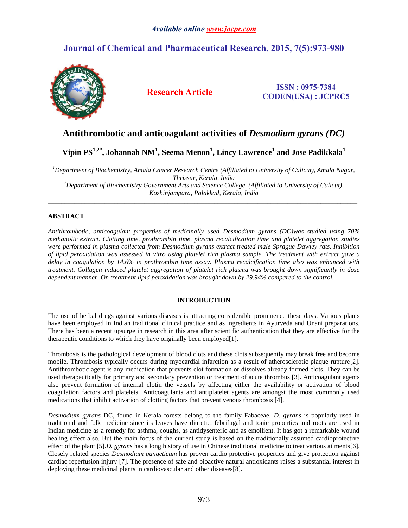# *Available online www.jocpr.com*

# **Journal of Chemical and Pharmaceutical Research, 2015, 7(5):973-980**



## **Research Article ISSN : 0975-7384 CODEN(USA) : JCPRC5**

# **Antithrombotic and anticoagulant activities of** *Desmodium gyrans (DC)*

**Vipin PS1,2\* , Johannah NM<sup>1</sup> , Seema Menon<sup>1</sup> , Lincy Lawrence<sup>1</sup> and Jose Padikkala<sup>1</sup>**

*<sup>1</sup>Department of Biochemistry, Amala Cancer Research Centre (Affiliated to University of Calicut), Amala Nagar, Thrissur, Kerala, India <sup>2</sup>Department of Biochemistry Government Arts and Science College, (Affiliated to University of Calicut), Kozhinjampara, Palakkad, Kerala, India*

\_\_\_\_\_\_\_\_\_\_\_\_\_\_\_\_\_\_\_\_\_\_\_\_\_\_\_\_\_\_\_\_\_\_\_\_\_\_\_\_\_\_\_\_\_\_\_\_\_\_\_\_\_\_\_\_\_\_\_\_\_\_\_\_\_\_\_\_\_\_\_\_\_\_\_\_\_\_\_\_\_\_\_\_\_\_\_\_\_\_\_\_\_

## **ABSTRACT**

*Antithrombotic, anticoagulant properties of medicinally used Desmodium gyrans (DC)was studied using 70% methanolic extract. Clotting time, prothrombin time, plasma recalcification time and platelet aggregation studies were performed in plasma collected from Desmodium gyrans extract treated male Sprague Dawley rats. Inhibition of lipid peroxidation was assessed in vitro using platelet rich plasma sample. The treatment with extract gave a delay in coagulation by 14.6% in prothrombin time assay. Plasma recalcification time also was enhanced with treatment. Collagen induced platelet aggregation of platelet rich plasma was brought down significantly in dose dependent manner. On treatment lipid peroxidation was brought down by 29.94% compared to the control.*

## **INTRODUCTION**

 $\_$  ,  $\_$  ,  $\_$  ,  $\_$  ,  $\_$  ,  $\_$  ,  $\_$  ,  $\_$  ,  $\_$  ,  $\_$  ,  $\_$  ,  $\_$  ,  $\_$  ,  $\_$  ,  $\_$  ,  $\_$  ,  $\_$  ,  $\_$  ,  $\_$  ,  $\_$  ,  $\_$  ,  $\_$  ,  $\_$  ,  $\_$  ,  $\_$  ,  $\_$  ,  $\_$  ,  $\_$  ,  $\_$  ,  $\_$  ,  $\_$  ,  $\_$  ,  $\_$  ,  $\_$  ,  $\_$  ,  $\_$  ,  $\_$  ,

The use of herbal drugs against various diseases is attracting considerable prominence these days. Various plants have been employed in Indian traditional clinical practice and as ingredients in Ayurveda and Unani preparations. There has been a recent upsurge in research in this area after scientific authentication that they are effective for the therapeutic conditions to which they have originally been employed[1].

Thrombosis is the pathological development of blood clots and these clots subsequently may break free and become mobile. Thrombosis typically occurs during myocardial infarction as a result of atherosclerotic plaque rupture[2]. Antithrombotic agent is any medication that prevents clot formation or dissolves already formed clots. They can be used therapeutically for primary and secondary prevention or treatment of acute thrombus [3]. Anticoagulant agents also prevent formation of internal clotin the vessels by affecting either the availability or activation of blood coagulation factors and platelets. Anticoagulants and antiplatelet agents are amongst the most commonly used medications that inhibit activation of clotting factors that prevent venous thrombosis [4].

*Desmodium gyrans* DC, found in Kerala forests belong to the family Fabaceae. *D. gyrans* is popularly used in traditional and folk medicine since its leaves have diuretic, febrifugal and tonic properties and roots are used in Indian medicine as a remedy for asthma, coughs, as antidysenteric and as emollient. It has got a remarkable wound healing effect also. But the main focus of the current study is based on the traditionally assumed cardioprotective effect of the plant [5].*D. gyrans* has a long history of use in Chinese traditional medicine to treat various ailments[6]. Closely related species *Desmodium gangeticum* has proven cardio protective properties and give protection against cardiac reperfusion injury [7]. The presence of safe and bioactive natural antioxidants raises a substantial interest in deploying these medicinal plants in cardiovascular and other diseases[8].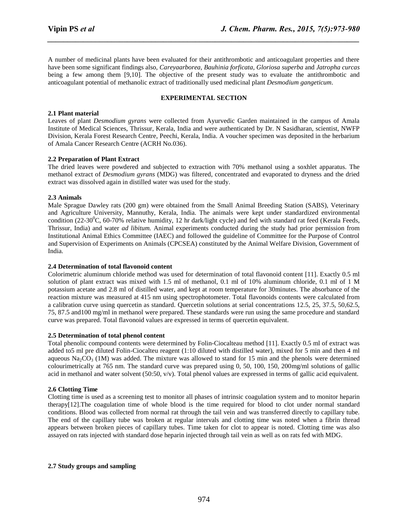A number of medicinal plants have been evaluated for their antithrombotic and anticoagulant properties and there have been some significant findings also, *Careyaarborea, Bauhinia forficata, Gloriosa superba* and *Jatropha curcas* being a few among them [9,10]. The objective of the present study was to evaluate the antithrombotic and anticoagulant potential of methanolic extract of traditionally used medicinal plant *Desmodium gangeticum*.

*\_\_\_\_\_\_\_\_\_\_\_\_\_\_\_\_\_\_\_\_\_\_\_\_\_\_\_\_\_\_\_\_\_\_\_\_\_\_\_\_\_\_\_\_\_\_\_\_\_\_\_\_\_\_\_\_\_\_\_\_\_\_\_\_\_\_\_\_\_\_\_\_\_\_\_\_\_\_*

### **EXPERIMENTAL SECTION**

#### **2.1 Plant material**

Leaves of plant *Desmodium gyrans* were collected from Ayurvedic Garden maintained in the campus of Amala Institute of Medical Sciences, Thrissur, Kerala, India and were authenticated by Dr. N Sasidharan, scientist, NWFP Division, Kerala Forest Research Centre, Peechi, Kerala, India. A voucher specimen was deposited in the herbarium of Amala Cancer Research Centre (ACRH No.036).

#### **2.2 Preparation of Plant Extract**

The dried leaves were powdered and subjected to extraction with 70% methanol using a soxhlet apparatus. The methanol extract of *Desmodium gyrans* (MDG) was filtered, concentrated and evaporated to dryness and the dried extract was dissolved again in distilled water was used for the study.

#### **2.3 Animals**

Male Sprague Dawley rats (200 gm) were obtained from the Small Animal Breeding Station (SABS), Veterinary and Agriculture University, Mannuthy, Kerala, India. The animals were kept under standardized environmental condition (22-30<sup>o</sup>C, 60-70% relative humidity, 12 hr dark/light cycle) and fed with standard rat feed (Kerala Feeds, Thrissur, India) and water *ad libitum.* Animal experiments conducted during the study had prior permission from Institutional Animal Ethics Committee (IAEC) and followed the guideline of Committee for the Purpose of Control and Supervision of Experiments on Animals (CPCSEA) constituted by the Animal Welfare Division, Government of India.

#### **2.4 Determination of total flavonoid content**

Colorimetric aluminum chloride method was used for determination of total flavonoid content [11]. Exactly 0.5 ml solution of plant extract was mixed with 1.5 ml of methanol, 0.1 ml of 10% aluminum chloride, 0.1 ml of 1 M potassium acetate and 2.8 ml of distilled water, and kept at room temperature for 30minutes. The absorbance of the reaction mixture was measured at 415 nm using spectrophotometer. Total flavonoids contents were calculated from a calibration curve using quercetin as standard. Quercetin solutions at serial concentrations 12.5, 25, 37.5, 50,62.5, 75, 87.5 and100 mg/ml in methanol were prepared. These standards were run using the same procedure and standard curve was prepared. Total flavonoid values are expressed in terms of quercetin equivalent.

#### **2.5 Determination of total phenol content**

Total phenolic compound contents were determined by Folin-Ciocalteau method [11]. Exactly 0.5 ml of extract was added to5 ml pre diluted Folin-Ciocalteu reagent (1:10 diluted with distilled water), mixed for 5 min and then 4 ml aqueous  $\text{Na}_2\text{CO}_3$  (1M) was added. The mixture was allowed to stand for 15 min and the phenols were determined colourimetrically at 765 nm. The standard curve was prepared using 0, 50, 100, 150, 200mg/ml solutions of gallic acid in methanol and water solvent  $(50:50, v/v)$ . Total phenol values are expressed in terms of gallic acid equivalent.

## **2.6 Clotting Time**

Clotting time is used as a screening test to monitor all phases of intrinsic coagulation system and to monitor heparin therapy[12].The coagulation time of whole blood is the time required for blood to clot under normal standard conditions. Blood was collected from normal rat through the tail vein and was transferred directly to capillary tube. The end of the capillary tube was broken at regular intervals and clotting time was noted when a fibrin thread appears between broken pieces of capillary tubes. Time taken for clot to appear is noted. Clotting time was also assayed on rats injected with standard dose heparin injected through tail vein as well as on rats fed with MDG.

#### **2.7 Study groups and sampling**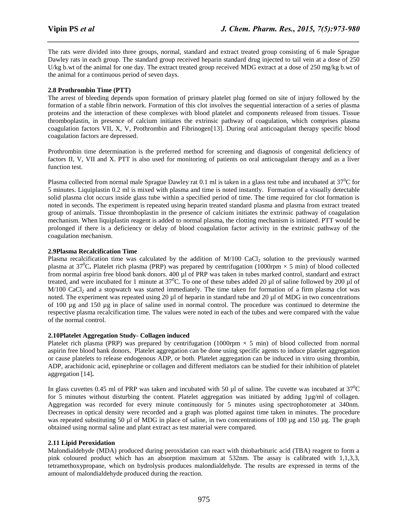The rats were divided into three groups, normal, standard and extract treated group consisting of 6 male Sprague Dawley rats in each group. The standard group received heparin standard drug injected to tail vein at a dose of 250 U/kg b.wt of the animal for one day. The extract treated group received MDG extract at a dose of 250 mg/kg b.wt of the animal for a continuous period of seven days.

*\_\_\_\_\_\_\_\_\_\_\_\_\_\_\_\_\_\_\_\_\_\_\_\_\_\_\_\_\_\_\_\_\_\_\_\_\_\_\_\_\_\_\_\_\_\_\_\_\_\_\_\_\_\_\_\_\_\_\_\_\_\_\_\_\_\_\_\_\_\_\_\_\_\_\_\_\_\_*

## **2.8 Prothrombin Time (PTT)**

The arrest of bleeding depends upon formation of primary platelet plug formed on site of injury followed by the formation of a stable fibrin network. Formation of this clot involves the sequential interaction of a series of plasma proteins and the interaction of these complexes with blood platelet and components released from tissues. Tissue thromboplastin, in presence of calcium initiates the extrinsic pathway of coagulation, which comprises plasma coagulation factors VII, X, V, Prothrombin and Fibrinogen<sup>[13]</sup>. During oral anticoagulant therapy specific blood coagulation factors are depressed.

Prothrombin time determination is the preferred method for screening and diagnosis of congenital deficiency of factors II, V, VII and X. PTT is also used for monitoring of patients on oral anticoagulant therapy and as a liver function test.

Plasma collected from normal male Sprague Dawley rat 0.1 ml is taken in a glass test tube and incubated at  $37^{\circ}$ C for 5 minutes. Liquiplastin 0.2 ml is mixed with plasma and time is noted instantly. Formation of a visually detectable solid plasma clot occurs inside glass tube within a specified period of time. The time required for clot formation is noted in seconds. The experiment is repeated using heparin treated standard plasma and plasma from extract treated group of animals. Tissue thromboplastin in the presence of calcium initiates the extrinsic pathway of coagulation mechanism. When liquiplastin reagent is added to normal plasma, the clotting mechanism is initiated. PTT would be prolonged if there is a deficiency or delay of blood coagulation factor activity in the extrinsic pathway of the coagulation mechanism.

#### **2.9Plasma Recalcification Time**

Plasma recalcification time was calculated by the addition of  $M/100$  CaCl<sub>2</sub> solution to the previously warmed plasma at 37<sup>o</sup>C. Platelet rich plasma (PRP) was prepared by centrifugation (1000rpm  $\times$  5 min) of blood collected from normal aspirin free blood bank donors. 400 µl of PRP was taken in tubes marked control, standard and extract treated, and were incubated for 1 minute at  $37^{\circ}$ C. To one of these tubes added 20 µl of saline followed by 200 µl of  $M/100$  CaCl<sub>2</sub> and a stopwatch was started immediately. The time taken for formation of a firm plasma clot was noted. The experiment was repeated using 20 µl of heparin in standard tube and 20 µl of MDG in two concentrations of 100 µg and 150 µg in place of saline used in normal control. The procedure was continued to determine the respective plasma recalcification time. The values were noted in each of the tubes and were compared with the value of the normal control.

#### **2.10Platelet Aggregation Study- Collagen induced**

Platelet rich plasma (PRP) was prepared by centrifugation (1000rpm  $\times$  5 min) of blood collected from normal aspirin free blood bank donors. Platelet aggregation can be done using specific agents to induce platelet aggregation or cause platelets to release endogenous ADP, or both. Platelet aggregation can be induced in vitro using thrombin, ADP, arachidonic acid, epinephrine or collagen and different mediators can be studied for their inhibition of platelet aggregation [14]**.**

In glass cuvettes 0.45 ml of PRP was taken and incubated with 50  $\mu$ l of saline. The cuvette was incubated at 37<sup>0</sup>C for 5 minutes without disturbing the content. Platelet aggregation was initiated by adding 1µg/ml of collagen. Aggregation was recorded for every minute continuously for 5 minutes using spectrophotometer at 340nm. Decreases in optical density were recorded and a graph was plotted against time taken in minutes. The procedure was repeated substituting 50 µl of MDG in place of saline, in two concentrations of 100 µg and 150 µg. The graph obtained using normal saline and plant extract as test material were compared.

### **2.11 Lipid Peroxidation**

Malondialdehyde (MDA) produced during peroxidation can react with thiobarbituric acid (TBA) reagent to form a pink coloured product which has an absorption maximum at 532nm. The assay is calibrated with 1,1,3,3, tetramethoxypropane, which on hydrolysis produces malondialdehyde. The results are expressed in terms of the amount of malondialdehyde produced during the reaction.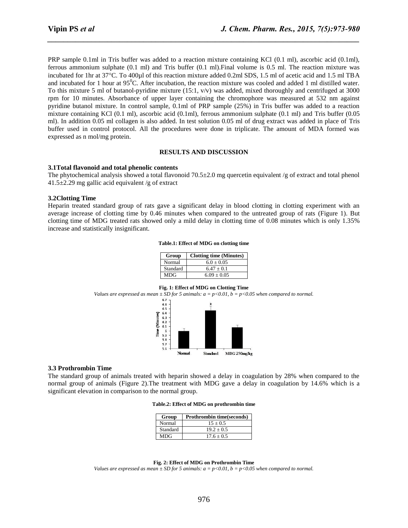PRP sample 0.1ml in Tris buffer was added to a reaction mixture containing KCl (0.1 ml), ascorbic acid (0.1ml), ferrous ammonium sulphate (0.1 ml) and Tris buffer (0.1 ml).Final volume is 0.5 ml. The reaction mixture was incubated for 1hr at 37°C. To 400µl of this reaction mixture added 0.2ml SDS, 1.5 ml of acetic acid and 1.5 ml TBA and incubated for 1 hour at  $95^{\circ}$ C. After incubation, the reaction mixture was cooled and added 1 ml distilled water. To this mixture 5 ml of butanol-pyridine mixture (15:1, v/v) was added, mixed thoroughly and centrifuged at 3000 rpm for 10 minutes. Absorbance of upper layer containing the chromophore was measured at 532 nm against pyridine butanol mixture. In control sample, 0.1ml of PRP sample (25%) in Tris buffer was added to a reaction mixture containing KCl (0.1 ml), ascorbic acid (0.1ml), ferrous ammonium sulphate (0.1 ml) and Tris buffer (0.05 ml). In addition 0.05 ml collagen is also added. In test solution 0.05 ml of drug extract was added in place of Tris buffer used in control protocol. All the procedures were done in triplicate. The amount of MDA formed was expressed as n mol/mg protein.

*\_\_\_\_\_\_\_\_\_\_\_\_\_\_\_\_\_\_\_\_\_\_\_\_\_\_\_\_\_\_\_\_\_\_\_\_\_\_\_\_\_\_\_\_\_\_\_\_\_\_\_\_\_\_\_\_\_\_\_\_\_\_\_\_\_\_\_\_\_\_\_\_\_\_\_\_\_\_*

#### **RESULTS AND DISCUSSION**

#### **3.1Total flavonoid and total phenolic contents**

The phytochemical analysis showed a total flavonoid  $70.5\pm2.0$  mg quercetin equivalent /g of extract and total phenol 41.5±2.29 mg gallic acid equivalent /g of extract

#### **3.2Clotting Time**

Heparin treated standard group of rats gave a significant delay in blood clotting in clotting experiment with an average increase of clotting time by 0.46 minutes when compared to the untreated group of rats (Figure 1). But clotting time of MDG treated rats showed only a mild delay in clotting time of 0.08 minutes which is only 1.35% increase and statistically insignificant.

**Table.1: Effect of MDG on clotting time**

| Group    | <b>Clotting time (Minutes)</b> |
|----------|--------------------------------|
| Normal   | $6.0 + 0.05$                   |
| Standard | $6.47 + 0.1$                   |
| MDG      | $6.09 + 0.05$                  |

#### **Fig. 1: Effect of MDG on Clotting Time**

*Values are expressed as mean*  $\pm$  *SD for 5 animals: a = p<0.01, b = p<0.05 when compared to normal.* 



#### **3.3 Prothrombin Time**

The standard group of animals treated with heparin showed a delay in coagulation by 28% when compared to the normal group of animals (Figure 2).The treatment with MDG gave a delay in coagulation by 14.6% which is a significant elevation in comparison to the normal group.

| Group      | <b>Prothrombin time(seconds)</b> |
|------------|----------------------------------|
| Normal     | $15 + 0.5$                       |
| Standard   | $19.2 + 0.5$                     |
| <b>MDG</b> | $17.6 + 0.5$                     |

#### **Fig. 2: Effect of MDG on Prothrombin Time**

*Values are expressed as mean*  $\pm$  *SD for 5 animals: a = p<0.01, b = p<0.05 when compared to normal.*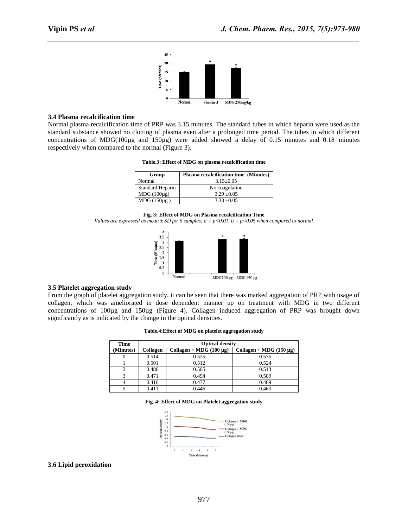

*\_\_\_\_\_\_\_\_\_\_\_\_\_\_\_\_\_\_\_\_\_\_\_\_\_\_\_\_\_\_\_\_\_\_\_\_\_\_\_\_\_\_\_\_\_\_\_\_\_\_\_\_\_\_\_\_\_\_\_\_\_\_\_\_\_\_\_\_\_\_\_\_\_\_\_\_\_\_*

#### **3.4 Plasma recalcification time**

Normal plasma recalcification time of PRP was 3.15 minutes. The standard tubes in which heparin were used as the standard substance showed no clotting of plasma even after a prolonged time period. The tubes in which different concentrations of MDG(100µg and 150µg) were added showed a delay of 0.15 minutes and 0.18 minutes respectively when compared to the normal (Figure 3).

| Group            | <b>Plasma recalcification time (Minutes)</b> |  |
|------------------|----------------------------------------------|--|
| Normal           | $3.15 \pm 0.05$                              |  |
| Standard Heparin | No coagulation                               |  |
| $MDG (100\mu g)$ | $3.29 \pm 0.05$                              |  |
| $MDG(150\mu g)$  | $3.33 + 0.05$                                |  |

**Table.3: Effect of MDG on plasma recalcification time**

*Values are expressed as mean ± SD for 5 samples: a = p<0.01, b = p<0.05 when compared to normal*



### **3.5 Platelet aggregation study**

From the graph of platelet aggregation study, it can be seen that there was marked aggregation of PRP with usage of collagen, which was ameliorated in dose dependent manner up on treatment with MDG in two different concentrations of 100µg and 150µg (Figure 4). Collagen induced aggregation of PRP was brought down significantly as is indicated by the change in the optical densities.

| Table.4: Effect of MDG on platelet aggregation study |  |  |  |
|------------------------------------------------------|--|--|--|
|------------------------------------------------------|--|--|--|

| <b>Time</b> | <b>Optical density</b> |                              |                              |  |
|-------------|------------------------|------------------------------|------------------------------|--|
| (Minutes)   | Collagen               | Collagen + MDG $(100 \mu g)$ | Collagen + MDG $(150 \mu g)$ |  |
|             | 0.514                  | 0.525                        | 0.535                        |  |
|             | 0.501                  | 0.512                        | 0.524                        |  |
|             | 0.486                  | 0.505                        | 0.513                        |  |
|             | 0.471                  | 0.494                        | 0.509                        |  |
|             | 0.416                  | 0.477                        | 0.489                        |  |
|             | 0.411                  | 0.446                        | 0.463                        |  |

#### **Fig. 4: Effect of MDG on Platelet aggregation study**



#### **3.6 Lipid peroxidation**

**Fig. 3: Effect of MDG on Plasma recalcification Time**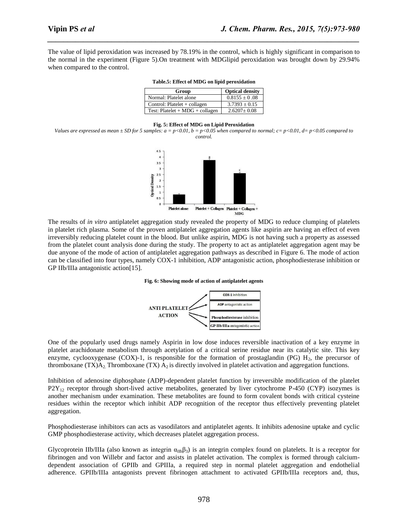The value of lipid peroxidation was increased by 78.19% in the control, which is highly significant in comparison to the normal in the experiment (Figure 5).On treatment with MDGlipid peroxidation was brought down by 29.94% when compared to the control.

*\_\_\_\_\_\_\_\_\_\_\_\_\_\_\_\_\_\_\_\_\_\_\_\_\_\_\_\_\_\_\_\_\_\_\_\_\_\_\_\_\_\_\_\_\_\_\_\_\_\_\_\_\_\_\_\_\_\_\_\_\_\_\_\_\_\_\_\_\_\_\_\_\_\_\_\_\_\_*

| Group                             | <b>Optical density</b> |
|-----------------------------------|------------------------|
| Normal: Platelet alone            | $0.8155 + 0.08$        |
| Control: Platelet $+$ collagen    | $3.7393 + 0.15$        |
| Test: Platelet $+ MDG + collagen$ | $2.6207 \pm 0.08$      |

#### **Table.5: Effect of MDG on lipid peroxidation**

#### **Fig. 5: Effect of MDG on Lipid Peroxidation**

*Values are expressed as mean*  $\pm$  *SD for 5 samples: a* =  $p$ <0.01, b =  $p$ <0.05 when compared to normal; c=  $p$ <0.01, d=  $p$ <0.05 compared to *control.*



The results of *in vitro* antiplatelet aggregation study revealed the property of MDG to reduce clumping of platelets in platelet rich plasma. Some of the proven antiplatelet aggregation agents like aspirin are having an effect of even irreversibly reducing platelet count in the blood. But unlike aspirin, MDG is not having such a property as assessed from the platelet count analysis done during the study. The property to act as antiplatelet aggregation agent may be due anyone of the mode of action of antiplatelet aggregation pathways as described in Figure 6. The mode of action can be classified into four types, namely COX-1 inhibition, ADP antagonistic action, phosphodiesterase inhibition or GP IIb/IIIa antagonistic action[15].





One of the popularly used drugs namely Aspirin in low dose induces reversible inactivation of a key enzyme in platelet arachidonate metabolism through acetylation of a critical serine residue near its catalytic site. This key enzyme, cyclooxygenase  $(COX)$ -1, is responsible for the formation of prostaglandin (PG)  $H<sub>2</sub>$ , the precursor of thromboxane (TX) $A_2$ . Thromboxane (TX)  $A_2$  is directly involved in platelet activation and aggregation functions.

Inhibition of adenosine diphosphate (ADP)-dependent platelet function by irreversible modification of the platelet  $P2Y_{12}$  receptor through short-lived active metabolites, generated by liver cytochrome P-450 (CYP) isozymes is another mechanism under examination. These metabolites are found to form covalent bonds with critical cysteine residues within the receptor which inhibit ADP recognition of the receptor thus effectively preventing platelet aggregation.

Phosphodiesterase inhibitors can acts as vasodilators and antiplatelet agents. It inhibits adenosine uptake and cyclic GMP phosphodiesterase activity, which decreases platelet aggregation process.

Glycoprotein IIb/IIIa (also known as [integrin](http://en.wikipedia.org/wiki/Integrin)  $\alpha_{\text{Ib}}\beta_3$ ) is an integrin complex found on [platelets.](http://en.wikipedia.org/wiki/Platelet) It is a receptor for [fibrinogen](http://en.wikipedia.org/wiki/Fibrinogen) and [von Willebr](http://en.wikipedia.org/wiki/Von_Willebrand_factor) and factor and assists in [platelet activation.](http://en.wikipedia.org/wiki/Coagulation#Platelet_activation) The complex is formed through calciumdependent association of GPIIb and GPIIIa, a required step in normal platelet aggregation and endothelial adherence. GPIIb/IIIa antagonists prevent fibrinogen attachment to activated GPIIb/IIIa receptors and, thus,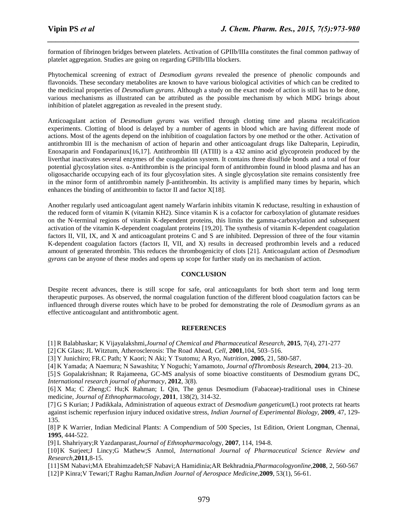formation of fibrinogen bridges between platelets. Activation of GPIIb/IIIa constitutes the final common pathway of platelet aggregation. Studies are going on regarding GPIIb/IIIa blockers.

*\_\_\_\_\_\_\_\_\_\_\_\_\_\_\_\_\_\_\_\_\_\_\_\_\_\_\_\_\_\_\_\_\_\_\_\_\_\_\_\_\_\_\_\_\_\_\_\_\_\_\_\_\_\_\_\_\_\_\_\_\_\_\_\_\_\_\_\_\_\_\_\_\_\_\_\_\_\_*

Phytochemical screening of extract of *Desmodium gyrans* revealed the presence of phenolic compounds and flavonoids. These secondary metabolites are known to have various biological activities of which can be credited to the medicinal properties of *Desmodium gyrans*. Although a study on the exact mode of action is still has to be done, various mechanisms as illustrated can be attributed as the possible mechanism by which MDG brings about inhibition of platelet aggregation as revealed in the present study.

Anticoagulant action of *Desmodium gyrans* was verified through clotting time and plasma recalcification experiments. Clotting of blood is delayed by a number of agents in blood which are having different mode of actions. Most of the agents depend on the inhibition of coagulation factors by one method or the other. Activation of antithrombin III is the mechanism of action of heparin and other anticoagulant drugs like Dalteparin, Lepirudin, Enoxaparin and Fondaparinux[16,17]. Antithrombin III (ATIII) is a 432 amino acid [glycoprotein](http://en.wikipedia.org/wiki/Glycoprotein) produced by the [livert](http://en.wikipedia.org/wiki/Liver)hat inactivates several enzymes of the [coagulation](http://en.wikipedia.org/wiki/Coagulation) system. It contains three [disulfide bonds](http://en.wikipedia.org/wiki/Disulfide_bond) and a total of four potential [glycosylation](http://en.wikipedia.org/wiki/Glycosylation) sites. α-Antithrombin is the principal form of antithrombin found in [blood plasma](http://en.wikipedia.org/wiki/Blood_plasma) and has an oligosaccharide occupying each of its four glycosylation sites. A single glycosylation site remains consistently free in the minor form of antithrombin namely β-antithrombin. Its activity is amplified many times by [heparin,](http://en.wikipedia.org/wiki/Heparin) which enhances the binding of antithrombin to [factor II](http://en.wikipedia.org/wiki/Thrombin) and [factor X\[](http://en.wikipedia.org/wiki/Factor_X)18].

Another regularly used anticoagulant agent namely Warfarin inhibits vitamin K reductase, resulting in exhaustion of the reduced form of vitamin K (vitamin KH2). Since vitamin K is a cofactor for carboxylation of glutamate residues on the N-terminal regions of vitamin K-dependent proteins, this limits the gamma-carboxylation and subsequent activation of the vitamin K-dependent coagulant proteins [19,20]. The synthesis of vitamin K-dependent coagulation factors II, VII, IX, and X and anticoagulant proteins C and S are inhibited. Depression of three of the four vitamin K-dependent coagulation factors (factors II, VII, and X) results in decreased prothrombin levels and a reduced amount of generated thrombin. This reduces the thrombogenicity of clots [21]. Anticoagulant action of *Desmodium gyrans* can be anyone of these modes and opens up scope for further study on its mechanism of action.

## **CONCLUSION**

Despite recent advances, there is still scope for safe, oral anticoagulants for both short term and long term therapeutic purposes. As observed, the normal coagulation function of the different blood coagulation factors can be influenced through diverse routes which have to be probed for demonstrating the role of *Desmodium gyrans* as an effective anticoagulant and antithrombotic agent.

## **REFERENCES**

[1] R Balabhaskar; K Vijayalakshmi,*Journal of Chemical and Pharmaceutical Research*, **2015**, 7(4), 271-277

[2] CK Glass; JL Witztum, Atherosclerosis: The Road Ahead, *Cell*, **2001**,104, 503–516.

[3] Y Junichiro; FR.C Path; Y Kaori; N Aki; Y Tsutomu; A Ryo, *Nutrition,* **2005**, 21, 580-587.

[4] K Yamada; A Naemura; N Sawashita; Y Noguchi; Yamamoto, *Journal ofThrombosis Res*earch, **2004**, 213–20.

[5] S Gopalakrishnan; R Rajameena, GC-MS analysis of some bioactive constituents of Desmodium gyrans DC, *International research journal of pharmacy*, **2012**, 3(8).

[6] X [Ma;](http://www.ncbi.nlm.nih.gov/pubmed?term=Ma%20X%5BAuthor%5D&cauthor=true&cauthor_uid=22004895) C [Zheng;C](http://www.ncbi.nlm.nih.gov/pubmed?term=Zheng%20C%5BAuthor%5D&cauthor=true&cauthor_uid=22004895) [Hu;K](http://www.ncbi.nlm.nih.gov/pubmed?term=Hu%20C%5BAuthor%5D&cauthor=true&cauthor_uid=22004895) [Rahman;](http://www.ncbi.nlm.nih.gov/pubmed?term=Rahman%20K%5BAuthor%5D&cauthor=true&cauthor_uid=22004895) L [Qin, T](http://www.ncbi.nlm.nih.gov/pubmed?term=Qin%20L%5BAuthor%5D&cauthor=true&cauthor_uid=22004895)he genus Desmodium (Fabaceae)-traditional uses in Chinese medicine, *[Journal of Ethnopharmacology](http://www.ncbi.nlm.nih.gov/pubmed/22004895)*, **2011**, 138(2), 314-32.

[7] G S Kurian; J Padikkala, Administration of aqueous extract of *Desmodium gangeticum*(L) root protects rat hearts against ischemic reperfusion injury induced oxidative stress, *Indian Journal of Experimental Biology,* **2009**, 47, 129- 135.

[8] P K Warrier, Indian Medicinal Plants: A Compendium of 500 Species, 1st Edition, Orient Longman, Chennai, **1995**, 444-522.

[9] L Shahriyary;R Yazdanparast,*Journal of Ethnopharmacol*ogy, **2007**, 114, 194-8.

[10]K Surjeet;J Lincy;G Mathew;S Anmol, *International Journal of Pharmaceutical Science Review and Research,***2011**,8-15.

[11]SM Nabavi;MA Ebrahimzadeh;SF Nabavi;A Hamidinia;AR Bekhradnia,*Pharmacologyonline,***2008**, 2, 560-567 [12]P Kinra;V Tewari;T Raghu Raman,*Indian Journal of Aerospace Medicine,***2009**, 53(1), 56-61.